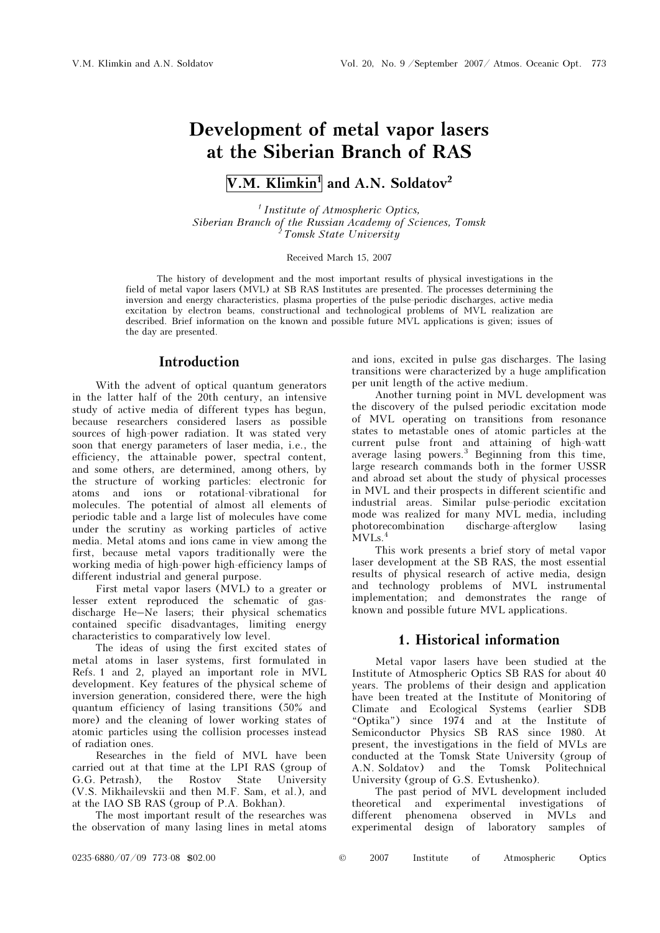# Development of metal vapor lasers at the Siberian Branch of RAS

# V.M. Klimkin<sup>1</sup> and A.N. Soldatov<sup>2</sup>

 $<sup>1</sup>$  Institute of Atmospheric Optics,</sup> Siberian Branch of the Russian Academy of Sciences, Tomsk <sup>2</sup> Tomsk State University

Received March 15, 2007

The history of development and the most important results of physical investigations in the field of metal vapor lasers (MVL) at SB RAS Institutes are presented. The processes determining the inversion and energy characteristics, plasma properties of the pulse-periodic discharges, active media excitation by electron beams, constructional and technological problems of MVL realization are described. Brief information on the known and possible future MVL applications is given; issues of the day are presented.

# Introduction

With the advent of optical quantum generators in the latter half of the 20th century, an intensive study of active media of different types has begun, because researchers considered lasers as possible sources of high-power radiation. It was stated very soon that energy parameters of laser media, i.e., the efficiency, the attainable power, spectral content, and some others, are determined, among others, by the structure of working particles: electronic for atoms and ions or rotational-vibrational for molecules. The potential of almost all elements of periodic table and a large list of molecules have come under the scrutiny as working particles of active media. Metal atoms and ions came in view among the first, because metal vapors traditionally were the working media of high-power high-efficiency lamps of different industrial and general purpose.

First metal vapor lasers (MVL) to a greater or lesser extent reproduced the schematic of gasdischarge He–Ne lasers; their physical schematics contained specific disadvantages, limiting energy characteristics to comparatively low level.

The ideas of using the first excited states of metal atoms in laser systems, first formulated in Refs. 1 and 2, played an important role in MVL development. Key features of the physical scheme of inversion generation, considered there, were the high quantum efficiency of lasing transitions (50% and more) and the cleaning of lower working states of atomic particles using the collision processes instead of radiation ones.

Researches in the field of MVL have been carried out at that time at the LPI RAS (group of G.G. Petrash), the Rostov State University (V.S. Mikhailevskii and then M.F. Sam, et al.), and at the IAO SB RAS (group of P.A. Bokhan).

The most important result of the researches was the observation of many lasing lines in metal atoms and ions, excited in pulse gas discharges. The lasing transitions were characterized by a huge amplification per unit length of the active medium.

Another turning point in MVL development was the discovery of the pulsed periodic excitation mode of MVL operating on transitions from resonance states to metastable ones of atomic particles at the current pulse front and attaining of high-watt average lasing powers.<sup>3</sup> Beginning from this time, large research commands both in the former USSR and abroad set about the study of physical processes in MVL and their prospects in different scientific and industrial areas. Similar pulse-periodic excitation mode was realized for many MVL media, including photorecombination discharge-afterglow lasing  $MVLs.<sup>4</sup>$ 

This work presents a brief story of metal vapor laser development at the SB RAS, the most essential results of physical research of active media, design and technology problems of MVL instrumental implementation; and demonstrates the range of known and possible future MVL applications.

# 1. Historical information

Metal vapor lasers have been studied at the Institute of Atmospheric Optics SB RAS for about 40 years. The problems of their design and application have been treated at the Institute of Monitoring of Climate and Ecological Systems (earlier SDB "Optika") since 1974 and at the Institute of Semiconductor Physics SB RAS since 1980. At present, the investigations in the field of MVLs are conducted at the Tomsk State University (group of A.N. Soldatov) and the Tomsk Politechnical University (group of G.S. Evtushenko).

The past period of MVL development included theoretical and experimental investigations of different phenomena observed in experimental design of laboratory samples of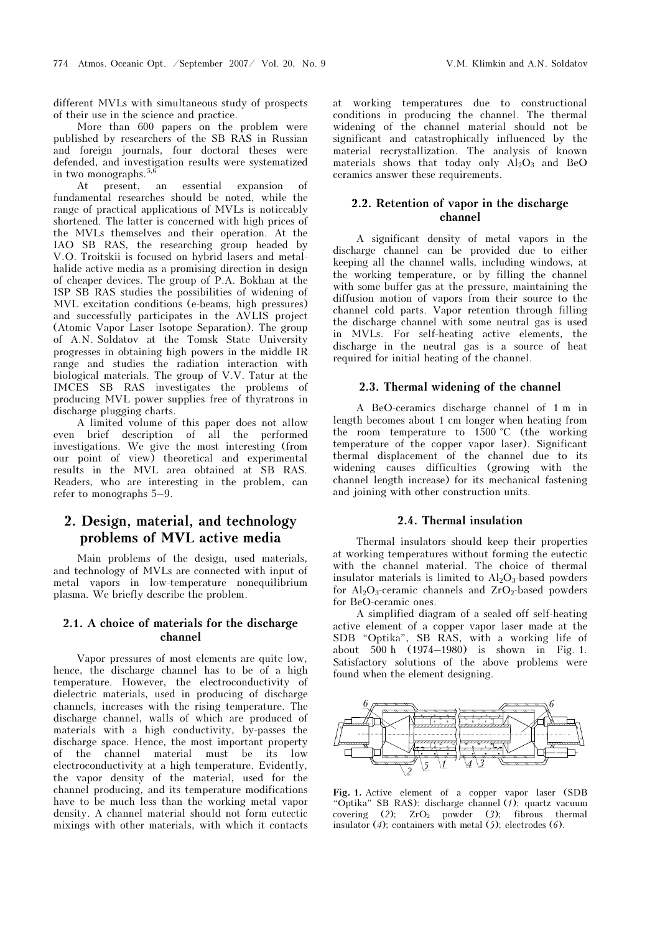different MVLs with simultaneous study of prospects of their use in the science and practice.

More than 600 papers on the problem were published by researchers of the SB RAS in Russian and foreign journals, four doctoral theses were defended, and investigation results were systematized in two monographs.  $5,6$ 

At present, an essential expansion fundamental researches should be noted, while the range of practical applications of MVLs is noticeably shortened. The latter is concerned with high prices of the MVLs themselves and their operation. At the IAO SB RAS, the researching group headed by V.O. Troitskii is focused on hybrid lasers and metalhalide active media as a promising direction in design of cheaper devices. The group of P.A. Bokhan at the ISP SB RAS studies the possibilities of widening of MVL excitation conditions (e-beams, high pressures) and successfully participates in the AVLIS project (Atomic Vapor Laser Isotope Separation). The group of A.N. Soldatov at the Tomsk State University progresses in obtaining high powers in the middle IR range and studies the radiation interaction with biological materials. The group of V.V. Tatur at the IMCES SB RAS investigates the problems of producing MVL power supplies free of thyratrons in discharge plugging charts.

A limited volume of this paper does not allow even brief description of all the performed investigations. We give the most interesting (from our point of view) theoretical and experimental results in the MVL area obtained at SB RAS. Readers, who are interesting in the problem, can refer to monographs 5–9.

# 2. Design, material, and technology problems of MVL active media

Main problems of the design, used materials, and technology of MVLs are connected with input of metal vapors in low-temperature nonequilibrium plasma. We briefly describe the problem.

### 2.1. A choice of materials for the discharge channel

Vapor pressures of most elements are quite low, hence, the discharge channel has to be of a high temperature. However, the electroconductivity of dielectric materials, used in producing of discharge channels, increases with the rising temperature. The discharge channel, walls of which are produced of materials with a high conductivity, by-passes the discharge space. Hence, the most important property of the channel material must be its low electroconductivity at a high temperature. Evidently, the vapor density of the material, used for the channel producing, and its temperature modifications have to be much less than the working metal vapor density. A channel material should not form eutectic mixings with other materials, with which it contacts

at working temperatures due to constructional conditions in producing the channel. The thermal widening of the channel material should not be significant and catastrophically influenced by the material recrystallization. The analysis of known materials shows that today only  $\overrightarrow{Al}_2O_3$  and BeO ceramics answer these requirements.

### 2.2. Retention of vapor in the discharge channel

A significant density of metal vapors in the discharge channel can be provided due to either keeping all the channel walls, including windows, at the working temperature, or by filling the channel with some buffer gas at the pressure, maintaining the diffusion motion of vapors from their source to the channel cold parts. Vapor retention through filling the discharge channel with some neutral gas is used in MVLs. For self-heating active elements, the discharge in the neutral gas is a source of heat required for initial heating of the channel.

### 2.3. Thermal widening of the channel

A BeO-ceramics discharge channel of 1 m in length becomes about 1 cm longer when heating from the room temperature to 1500 °C (the working temperature of the copper vapor laser). Significant thermal displacement of the channel due to its widening causes difficulties (growing with the channel length increase) for its mechanical fastening and joining with other construction units.

#### 2.4. Thermal insulation

Thermal insulators should keep their properties at working temperatures without forming the eutectic with the channel material. The choice of thermal insulator materials is limited to  $Al_2O_3$ -based powders for  $Al_2O_3$ -ceramic channels and  $ZrO_2$ -based powders for BeO-ceramic ones.

A simplified diagram of a sealed off self-heating active element of a copper vapor laser made at the SDB "Optika", SB RAS, with a working life of about 500 h (1974–1980) is shown in Fig. 1. Satisfactory solutions of the above problems were found when the element designing.



Fig. 1. Active element of a copper vapor laser (SDB "Optika" SB RAS): discharge channel (1); quartz vacuum covering (2);  $ZrO<sub>2</sub>$  powder (3); fibrous thermal insulator (4); containers with metal (5); electrodes (6).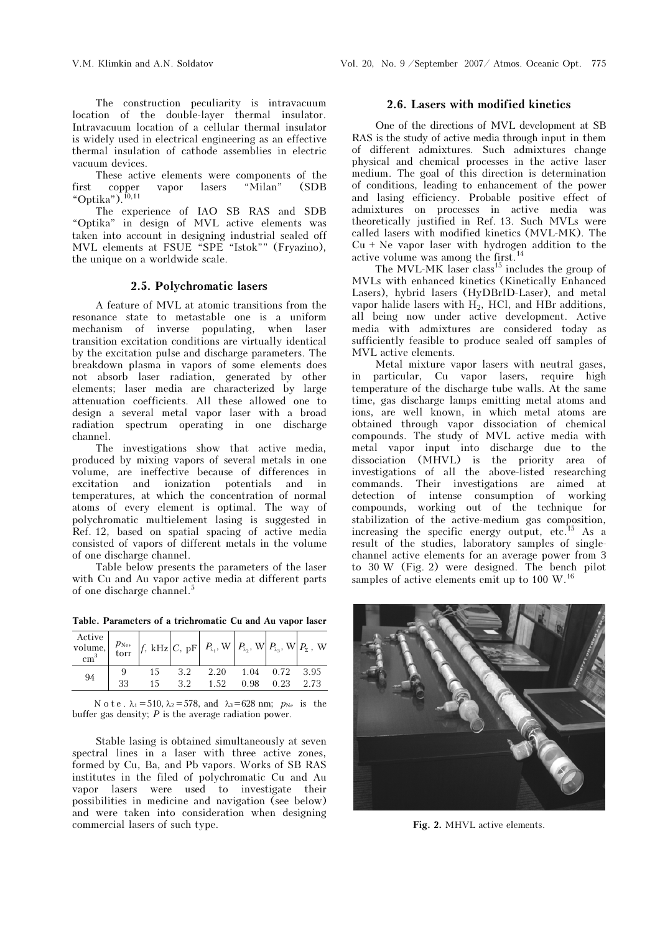The construction peculiarity is intravacuum location of the double-layer thermal insulator. Intravacuum location of a cellular thermal insulator is widely used in electrical engineering as an effective thermal insulation of cathode assemblies in electric vacuum devices.

These active elements were components of the first copper vapor lasers "Milan" (SDB "Optika"). $^{10}P<sub>10,11</sub>$ 

The experience of IAO SB RAS and SDB "Optika" in design of MVL active elements was taken into account in designing industrial sealed off MVL elements at FSUE "SPE "Istok"" (Fryazino), the unique on a worldwide scale.

### 2.5. Polychromatic lasers

A feature of MVL at atomic transitions from the resonance state to metastable one is a uniform mechanism of inverse populating, when laser transition excitation conditions are virtually identical by the excitation pulse and discharge parameters. The breakdown plasma in vapors of some elements does not absorb laser radiation, generated by other elements; laser media are characterized by large attenuation coefficients. All these allowed one to design a several metal vapor laser with a broad radiation spectrum operating in one discharge channel.

The investigations show that active media, produced by mixing vapors of several metals in one volume, are ineffective because of differences in excitation and ionization potentials and in temperatures, at which the concentration of normal atoms of every element is optimal. The way of polychromatic multielement lasing is suggested in Ref. 12, based on spatial spacing of active media consisted of vapors of different metals in the volume of one discharge channel.

Table below presents the parameters of the laser with Cu and Au vapor active media at different parts of one discharge channel.<sup>5</sup>

| $\operatorname*{Active}\limits_{\cdot \cdot \cdot , 3} \left[ \begin{array}{c} p_{\text{Ne}} \\ \text{torr} \end{array} \right] \left. \begin{array}{c} f, \text{ kHz} \\ \text{L}, \text{ pF} \end{array} \right  P_{\text{A}_1}, \text{ W} \left[ \begin{array}{c} P_{\text{A}_2}, \text{ W} \\ \text{L}_2, \text{ W} \end{array} \right] \left. \begin{array}{c} P_{\text{A}_3}, \text{ W} \\ \text{L}_3, \text{ W} \end{array} \right  P_{\text{A}_4}, \text{ W} \left[ \begin{array}{c} P_{\text$ |    |    |     |      |      |                  |      |
|--------------------------------------------------------------------------------------------------------------------------------------------------------------------------------------------------------------------------------------------------------------------------------------------------------------------------------------------------------------------------------------------------------------------------------------------------------------------------------------------------------|----|----|-----|------|------|------------------|------|
| 94                                                                                                                                                                                                                                                                                                                                                                                                                                                                                                     |    | 15 | 3.2 | 2.20 |      | 1.04  0.72  3.95 |      |
|                                                                                                                                                                                                                                                                                                                                                                                                                                                                                                        | 33 | 15 | 32  | 1.52 | 0.98 | 0.23             | 2.73 |

Table. Parameters of a trichromatic Cu and Au vapor laser

#### N o t e .  $\lambda_1 = 510$ ,  $\lambda_2 = 578$ , and  $\lambda_3 = 628$  nm;  $p_{Ne}$  is the buffer gas density;  $P$  is the average radiation power.

Stable lasing is obtained simultaneously at seven spectral lines in a laser with three active zones, formed by Cu, Ba, and Pb vapors. Works of SB RAS institutes in the filed of polychromatic Cu and Au vapor lasers were used to investigate their possibilities in medicine and navigation (see below) and were taken into consideration when designing commercial lasers of such type.

### 2.6. Lasers with modified kinetics

One of the directions of MVL development at SB RAS is the study of active media through input in them of different admixtures. Such admixtures change physical and chemical processes in the active laser medium. The goal of this direction is determination of conditions, leading to enhancement of the power and lasing efficiency. Probable positive effect of admixtures on processes in active media was theoretically justified in Ref. 13. Such MVLs were called lasers with modified kinetics (MVL-MK). The  $Cu + Ne$  vapor laser with hydrogen addition to the active volume was among the first.<sup>14</sup>

The MVL-MK laser class<sup>15</sup> includes the group of MVLs with enhanced kinetics (Kinetically Enhanced Lasers), hybrid lasers (HyDBrID-Laser), and metal vapor halide lasers with  $H_2$ , HCl, and HBr additions, all being now under active development. Active media with admixtures are considered today as sufficiently feasible to produce sealed off samples of MVL active elements.

Metal mixture vapor lasers with neutral gases, in particular, Cu vapor lasers, require high temperature of the discharge tube walls. At the same time, gas discharge lamps emitting metal atoms and ions, are well known, in which metal atoms are obtained through vapor dissociation of chemical compounds. The study of MVL active media with metal vapor input into discharge due to the dissociation (MHVL) is the priority area of investigations of all the above-listed researching commands. Their investigations are aimed at detection of intense consumption of working compounds, working out of the technique for stabilization of the active-medium gas composition, increasing the specific energy output, etc.<sup>15</sup> As a result of the studies, laboratory samples of singlechannel active elements for an average power from 3 to 30 W (Fig. 2) were designed. The bench pilot samples of active elements emit up to 100 W.<sup>16</sup>



Fig. 2. MHVL active elements.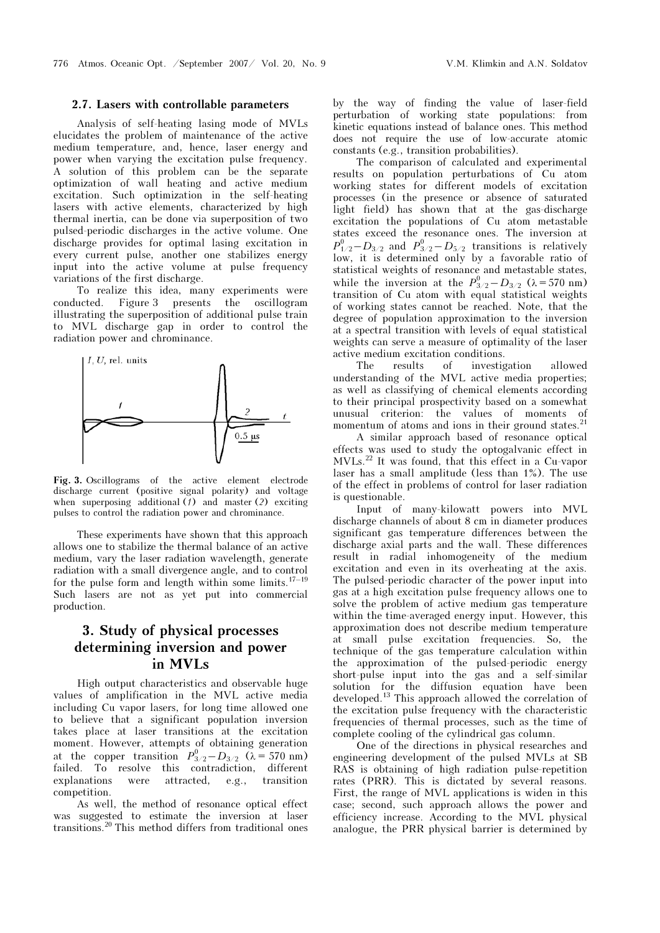#### 2.7. Lasers with controllable parameters

Analysis of self-heating lasing mode of MVLs elucidates the problem of maintenance of the active medium temperature, and, hence, laser energy and power when varying the excitation pulse frequency. A solution of this problem can be the separate optimization of wall heating and active medium excitation. Such optimization in the self-heating lasers with active elements, characterized by high thermal inertia, can be done via superposition of two pulsed-periodic discharges in the active volume. One discharge provides for optimal lasing excitation in every current pulse, another one stabilizes energy input into the active volume at pulse frequency variations of the first discharge.

To realize this idea, many experiments were conducted. Figure 3 presents the oscillogram illustrating the superposition of additional pulse train to MVL discharge gap in order to control the radiation power and chrominance.



Fig. 3. Oscillograms of the active element electrode discharge current (positive signal polarity) and voltage when superposing additional  $(7)$  and master (2) exciting pulses to control the radiation power and chrominance.

These experiments have shown that this approach allows one to stabilize the thermal balance of an active medium, vary the laser radiation wavelength, generate radiation with a small divergence angle, and to control for the pulse form and length within some limits. $17-19$ Such lasers are not as yet put into commercial production.

# 3. Study of physical processes determining inversion and power in MVLs

High output characteristics and observable huge values of amplification in the MVL active media including Cu vapor lasers, for long time allowed one to believe that a significant population inversion takes place at laser transitions at the excitation moment. However, attempts of obtaining generation at the copper transition  $P_{3/2}^0 - D_{3/2}$  ( $\lambda = 570$  nm) failed. To resolve this contradiction, different explanations were attracted, e.g., transition competition.

As well, the method of resonance optical effect was suggested to estimate the inversion at laser transitions.<sup>20</sup> This method differs from traditional ones by the way of finding the value of laser-field perturbation of working state populations: from kinetic equations instead of balance ones. This method does not require the use of low-accurate atomic constants (e.g., transition probabilities).

The comparison of calculated and experimental results on population perturbations of Cu atom working states for different models of excitation processes (in the presence or absence of saturated light field) has shown that at the gas-discharge excitation the populations of Cu atom metastable states exceed the resonance ones. The inversion at  $P_{1/2}^0-D_{3/2}$  and  $P_{3/2}^0-D_{5/2}$  transitions is relatively low, it is determined only by a favorable ratio of statistical weights of resonance and metastable states, while the inversion at the  $P_{3/2}^0 - D_{3/2}$  ( $\lambda = 570$  nm) transition of Cu atom with equal statistical weights of working states cannot be reached. Note, that the degree of population approximation to the inversion at a spectral transition with levels of equal statistical weights can serve a measure of optimality of the laser active medium excitation conditions.

The results of investigation allowed understanding of the MVL active media properties; as well as classifying of chemical elements according to their principal prospectivity based on a somewhat unusual criterion: the values of moments of momentum of atoms and ions in their ground states.<sup>21</sup>

 A similar approach based of resonance optical effects was used to study the optogalvanic effect in MVLs.<sup>22</sup> It was found, that this effect in a Cu-vapor laser has a small amplitude (less than 1%). The use of the effect in problems of control for laser radiation is questionable.

Input of many-kilowatt powers into MVL discharge channels of about 8 cm in diameter produces significant gas temperature differences between the discharge axial parts and the wall. These differences result in radial inhomogeneity of the medium excitation and even in its overheating at the axis. The pulsed-periodic character of the power input into gas at a high excitation pulse frequency allows one to solve the problem of active medium gas temperature within the time-averaged energy input. However, this approximation does not describe medium temperature at small pulse excitation frequencies. So, the technique of the gas temperature calculation within the approximation of the pulsed-periodic energy short-pulse input into the gas and a self-similar solution for the diffusion equation have been developed.<sup>13</sup> This approach allowed the correlation of the excitation pulse frequency with the characteristic frequencies of thermal processes, such as the time of complete cooling of the cylindrical gas column.

One of the directions in physical researches and engineering development of the pulsed MVLs at SB RAS is obtaining of high radiation pulse-repetition rates (PRR). This is dictated by several reasons. First, the range of MVL applications is widen in this case; second, such approach allows the power and efficiency increase. According to the MVL physical analogue, the PRR physical barrier is determined by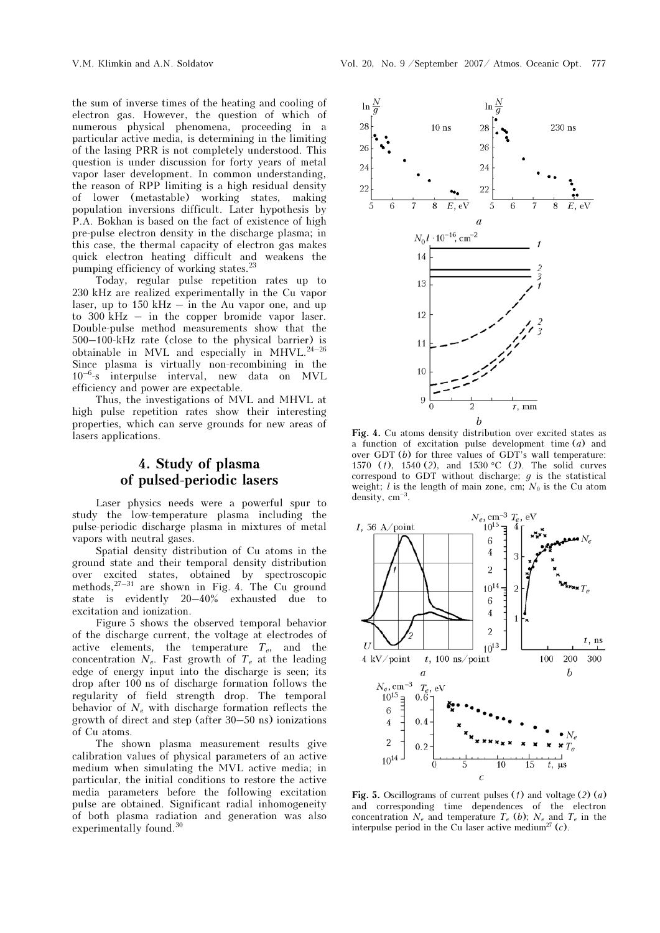the sum of inverse times of the heating and cooling of electron gas. However, the question of which of numerous physical phenomena, proceeding in a particular active media, is determining in the limiting of the lasing PRR is not completely understood. This question is under discussion for forty years of metal vapor laser development. In common understanding, the reason of RPP limiting is a high residual density of lower (metastable) working states, making population inversions difficult. Later hypothesis by P.A. Bokhan is based on the fact of existence of high pre-pulse electron density in the discharge plasma; in this case, the thermal capacity of electron gas makes quick electron heating difficult and weakens the pumping efficiency of working states.<sup>3</sup>

Today, regular pulse repetition rates up to 230 kHz are realized experimentally in the Cu vapor laser, up to  $150 \text{ kHz} - \text{ in the Au vapor one, and up}$ to 300 kHz – in the copper bromide vapor laser. Double-pulse method measurements show that the 500–100-kHz rate (close to the physical barrier) is obtainable in MVL and especially in MHVL. $^{24-26}$ Since plasma is virtually non-recombining in the  $10^{-6}$ -s interpulse interval, new data on MVL efficiency and power are expectable.

Thus, the investigations of MVL and MHVL at high pulse repetition rates show their interesting properties, which can serve grounds for new areas of lasers applications.

# 4. Study of plasma of pulsed-periodic lasers

Laser physics needs were a powerful spur to study the low-temperature plasma including the pulse-periodic discharge plasma in mixtures of metal vapors with neutral gases.

Spatial density distribution of Cu atoms in the ground state and their temporal density distribution over excited states, obtained by spectroscopic methods, $27-31$  are shown in Fig. 4. The Cu ground state is evidently 20–40% exhausted due to excitation and ionization.

Figure 5 shows the observed temporal behavior of the discharge current, the voltage at electrodes of active elements, the temperature  $T_e$ , and the concentration  $N_e$ . Fast growth of  $T_e$  at the leading edge of energy input into the discharge is seen; its drop after 100 ns of discharge formation follows the regularity of field strength drop. The temporal behavior of  $N_e$  with discharge formation reflects the growth of direct and step (after 30–50 ns) ionizations of Cu atoms.

The shown plasma measurement results give calibration values of physical parameters of an active medium when simulating the MVL active media; in particular, the initial conditions to restore the active media parameters before the following excitation pulse are obtained. Significant radial inhomogeneity of both plasma radiation and generation was also experimentally found.<sup>30</sup>



Fig. 4. Cu atoms density distribution over excited states as a function of excitation pulse development time  $(a)$  and over GDT (*b*) for three values of GDT's wall temperature: 1570 (*f*), 1540 (*2*), and 1530 °C (*3*). The solid curves correspond to GDT without discharge;  $g$  is the statistical weight; l is the length of main zone, cm;  $N_0$  is the Cu atom density,  $cm^{-3}$ .



Fig. 5. Oscillograms of current pulses (1) and voltage (2) (a) and corresponding time dependences of the electron concentration  $N_e$  and temperature  $T_e$  (b);  $N_e$  and  $T_e$  in the interpulse period in the Cu laser active medium<sup>27</sup>  $(c)$ .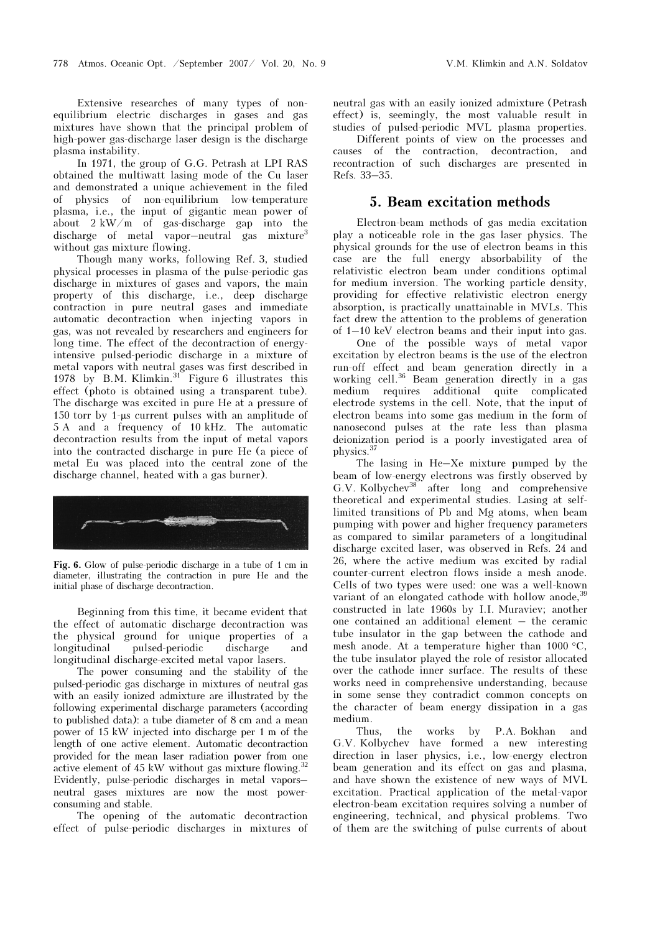Extensive researches of many types of nonequilibrium electric discharges in gases and gas mixtures have shown that the principal problem of high-power gas-discharge laser design is the discharge plasma instability.

In 1971, the group of G.G. Petrash at LPI RAS obtained the multiwatt lasing mode of the Cu laser and demonstrated a unique achievement in the filed of physics of non-equilibrium low-temperature plasma, i.e., the input of gigantic mean power of about 2 kW/m of gas-discharge gap into the discharge of metal vapor-neutral gas mixture<sup>3</sup> without gas mixture flowing.

Though many works, following Ref. 3, studied physical processes in plasma of the pulse-periodic gas discharge in mixtures of gases and vapors, the main property of this discharge, i.e., deep discharge contraction in pure neutral gases and immediate automatic decontraction when injecting vapors in gas, was not revealed by researchers and engineers for long time. The effect of the decontraction of energyintensive pulsed-periodic discharge in a mixture of metal vapors with neutral gases was first described in 1978 by B.M. Klimkin. $31$  Figure 6 illustrates this effect (photo is obtained using a transparent tube). The discharge was excited in pure He at a pressure of 150 torr by 1-μs current pulses with an amplitude of 5 A and a frequency of 10 kHz. The automatic decontraction results from the input of metal vapors into the contracted discharge in pure He (a piece of metal Eu was placed into the central zone of the discharge channel, heated with a gas burner).



Fig. 6. Glow of pulse-periodic discharge in a tube of 1 cm in diameter, illustrating the contraction in pure He and the initial phase of discharge decontraction.

Beginning from this time, it became evident that the effect of automatic discharge decontraction was the physical ground for unique properties of a longitudinal pulsed-periodic discharge and longitudinal discharge-excited metal vapor lasers.

The power consuming and the stability of the pulsed-periodic gas discharge in mixtures of neutral gas with an easily ionized admixture are illustrated by the following experimental discharge parameters (according to published data): a tube diameter of 8 cm and a mean power of 15 kW injected into discharge per 1 m of the length of one active element. Automatic decontraction provided for the mean laser radiation power from one active element of 45 kW without gas mixture flowing.<sup>32</sup> Evidently, pulse-periodic discharges in metal vapors– neutral gases mixtures are now the most powerconsuming and stable.

The opening of the automatic decontraction effect of pulse-periodic discharges in mixtures of neutral gas with an easily ionized admixture (Petrash effect) is, seemingly, the most valuable result in studies of pulsed-periodic MVL plasma properties.

 Different points of view on the processes and causes of the contraction, decontraction, and recontraction of such discharges are presented in Refs. 33–35.

### 5. Beam excitation methods

Electron-beam methods of gas media excitation play a noticeable role in the gas laser physics. The physical grounds for the use of electron beams in this case are the full energy absorbability of the relativistic electron beam under conditions optimal for medium inversion. The working particle density, providing for effective relativistic electron energy absorption, is practically unattainable in MVLs. This fact drew the attention to the problems of generation of 1–10 keV electron beams and their input into gas.

 One of the possible ways of metal vapor excitation by electron beams is the use of the electron run-off effect and beam generation directly in a working cell.<sup>36</sup> Beam generation directly in a gas medium requires additional quite complicated electrode systems in the cell. Note, that the input of electron beams into some gas medium in the form of nanosecond pulses at the rate less than plasma deionization period is a poorly investigated area of physics.<sup>37</sup>

The lasing in He–Xe mixture pumped by the beam of low-energy electrons was firstly observed by G.V. Kolbychev<sup>38</sup> after long and comprehensive theoretical and experimental studies. Lasing at selflimited transitions of Pb and Mg atoms, when beam pumping with power and higher frequency parameters as compared to similar parameters of a longitudinal discharge excited laser, was observed in Refs. 24 and 26, where the active medium was excited by radial counter-current electron flows inside a mesh anode. Cells of two types were used: one was a well-known variant of an elongated cathode with hollow anode,<sup>39</sup> constructed in late 1960s by I.I. Muraviev; another one contained an additional element – the ceramic tube insulator in the gap between the cathode and mesh anode. At a temperature higher than 1000  $\mathrm{^{\circ}C},$ the tube insulator played the role of resistor allocated over the cathode inner surface. The results of these works need in comprehensive understanding, because in some sense they contradict common concepts on the character of beam energy dissipation in a gas medium.

Thus, the works by P.A. Bokhan and G.V. Kolbychev have formed a new interesting direction in laser physics, i.e., low-energy electron beam generation and its effect on gas and plasma, and have shown the existence of new ways of MVL excitation. Practical application of the metal-vapor electron-beam excitation requires solving a number of engineering, technical, and physical problems. Two of them are the switching of pulse currents of about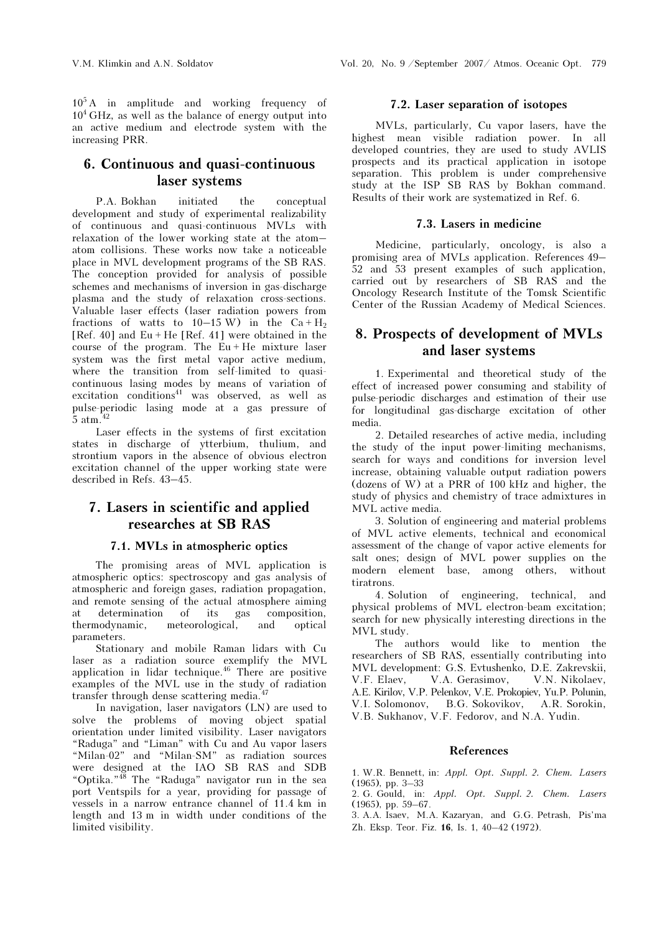$10<sup>5</sup>A$  in amplitude and working frequency of  $10<sup>4</sup> GHz$ , as well as the balance of energy output into an active medium and electrode system with the increasing PRR.

# 6. Continuous and quasi-continuous laser systems

P.A. Bokhan initiated the conceptual development and study of experimental realizability of continuous and quasi-continuous MVLs with relaxation of the lower working state at the atom– atom collisions. These works now take a noticeable place in MVL development programs of the SB RAS. The conception provided for analysis of possible schemes and mechanisms of inversion in gas-discharge plasma and the study of relaxation cross-sections. Valuable laser effects (laser radiation powers from fractions of watts to  $10-15$  W) in the Ca + H<sub>2</sub> [Ref. 40] and  $Eu + He$  [Ref. 41] were obtained in the course of the program. The  $Eu + He$  mixture laser system was the first metal vapor active medium, where the transition from self-limited to quasicontinuous lasing modes by means of variation of  $excitation$  conditions<sup>41</sup> was observed, as well as pulse-periodic lasing mode at a gas pressure of 5 atm. $42$ 

Laser effects in the systems of first excitation states in discharge of ytterbium, thulium, and strontium vapors in the absence of obvious electron excitation channel of the upper working state were described in Refs. 43–45.

# 7. Lasers in scientific and applied researches at SB RAS

## 7.1. MVLs in atmospheric optics

The promising areas of MVL application is atmospheric optics: spectroscopy and gas analysis of atmospheric and foreign gases, radiation propagation, and remote sensing of the actual atmosphere aiming at determination of its gas composition, thermodynamic, meteorological, and optical parameters.

Stationary and mobile Raman lidars with Cu laser as a radiation source exemplify the MVL application in lidar technique.<sup>46</sup> There are positive examples of the MVL use in the study of radiation transfer through dense scattering media.<sup>47</sup>

In navigation, laser navigators (LN) are used to solve the problems of moving object spatial orientation under limited visibility. Laser navigators "Raduga" and "Liman" with Cu and Au vapor lasers "Milan-02" and "Milan-SM" as radiation sources were designed at the IAO SB RAS and SDB "Optika."<sup>48</sup> The "Raduga" navigator run in the sea port Ventspils for a year, providing for passage of vessels in a narrow entrance channel of 11.4 km in length and 13 m in width under conditions of the limited visibility.

### 7.2. Laser separation of isotopes

MVLs, particularly, Cu vapor lasers, have the highest mean visible radiation power. In all developed countries, they are used to study AVLIS prospects and its practical application in isotope separation. This problem is under comprehensive study at the ISP SB RAS by Bokhan command. Results of their work are systematized in Ref. 6.

### 7.3. Lasers in medicine

Medicine, particularly, oncology, is also a promising area of MVLs application. References 49– 52 and 53 present examples of such application, carried out by researchers of SB RAS and the Oncology Research Institute of the Tomsk Scientific Center of the Russian Academy of Medical Sciences.

# 8. Prospects of development of MVLs and laser systems

1. Experimental and theoretical study of the effect of increased power consuming and stability of pulse-periodic discharges and estimation of their use for longitudinal gas-discharge excitation of other media.

2. Detailed researches of active media, including the study of the input power-limiting mechanisms, search for ways and conditions for inversion level increase, obtaining valuable output radiation powers (dozens of W) at a PRR of 100 kHz and higher, the study of physics and chemistry of trace admixtures in MVL active media.

3. Solution of engineering and material problems of MVL active elements, technical and economical assessment of the change of vapor active elements for salt ones; design of MVL power supplies on the modern element base, among others, without tiratrons.

4. Solution of engineering, technical, and physical problems of MVL electron-beam excitation; search for new physically interesting directions in the MVL study.

The authors would like to mention the researchers of SB RAS, essentially contributing into MVL development: G.S. Evtushenko, D.E. Zakrevskii, V.F. Elaev, V.A. Gerasimov, V.N. Nikolaev, A.E. Kirilov, V.P. Pelenkov, V.E. Prokopiev, Yu.P. Polunin, V.I. Solomonov, B.G. Sokovikov, A.R. Sorokin, V.B. Sukhanov, V.F. Fedorov, and N.A. Yudin.

### References

1. W.R. Bennett, in: Appl. Opt. Suppl. 2. Chem. Lasers (1965), pp. 3–33

2. G. Gould, in: Appl. Opt. Suppl. 2. Chem. Lasers (1965), pp. 59–67.

3. A.A. Isaev, M.A. Kazaryan, and G.G. Petrash, Pis'ma Zh. Eksp. Teor. Fiz. 16, Is. 1, 40–42 (1972).